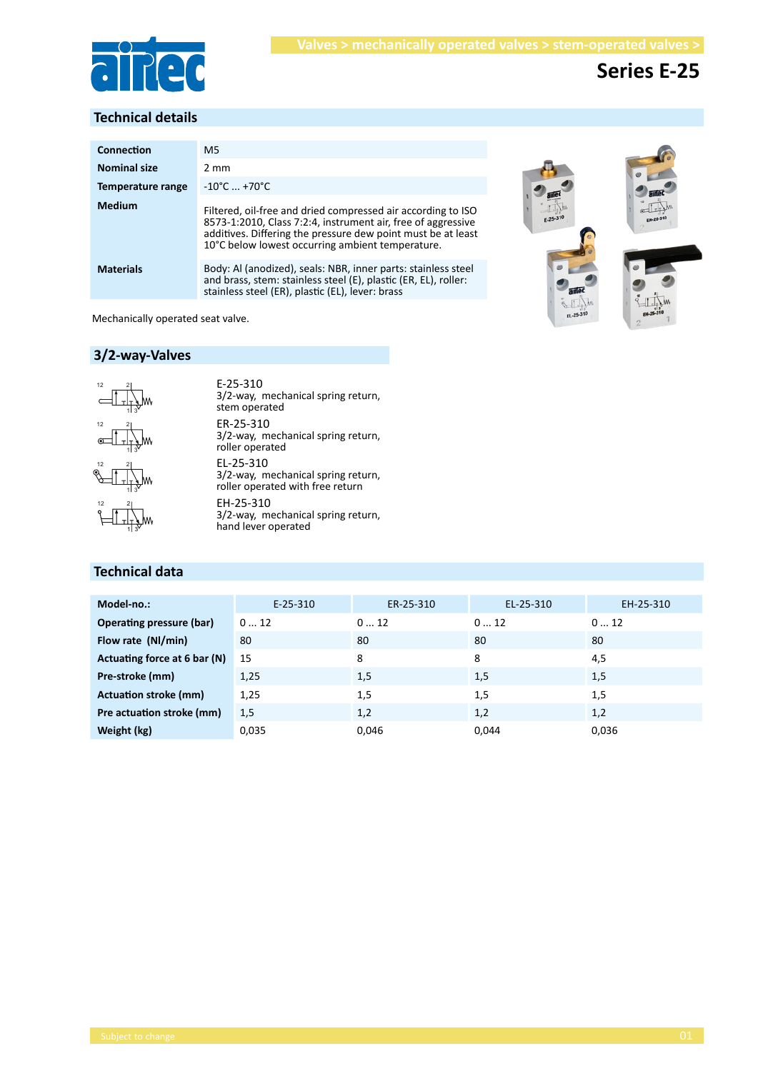

# **Series E-25**

# **Technical details**

| Connection          | M5                                                                                                                                                                                                                                               |  |  |  |
|---------------------|--------------------------------------------------------------------------------------------------------------------------------------------------------------------------------------------------------------------------------------------------|--|--|--|
| <b>Nominal size</b> | $2 \text{ mm}$                                                                                                                                                                                                                                   |  |  |  |
| Temperature range   | $-10^{\circ}$ C $+70^{\circ}$ C                                                                                                                                                                                                                  |  |  |  |
| <b>Medium</b>       | Filtered, oil-free and dried compressed air according to ISO<br>8573-1:2010, Class 7:2:4, instrument air, free of aggressive<br>additives. Differing the pressure dew point must be at least<br>10°C below lowest occurring ambient temperature. |  |  |  |
| <b>Materials</b>    | Body: Al (anodized), seals: NBR, inner parts: stainless steel<br>and brass, stem: stainless steel (E), plastic (ER, EL), roller:<br>stainless steel (ER), plastic (EL), lever: brass                                                             |  |  |  |





Mechanically operated seat valve.

# **3/2-way-Valves**



1 3

1 3

2

12 2

ER-25-310 3/2-way, mechanical spring return, roller operated EL-25-310 3/2-way, mechanical spring return, roller operated with free return E-25-310 3/2-way, mechanical spring return, stem operated EH-25-310

3/2-way, mechanical spring return, hand lever operated

# **Technical data**

| Model-no.:                   | $E-25-310$ | ER-25-310 | EL-25-310 | EH-25-310 |
|------------------------------|------------|-----------|-----------|-----------|
| Operating pressure (bar)     | 012        | 012       | 012       | 012       |
| Flow rate (NI/min)           | 80         | 80        | 80        | 80        |
| Actuating force at 6 bar (N) | 15         | 8         | 8         | 4,5       |
| Pre-stroke (mm)              | 1,25       | 1,5       | 1,5       | 1,5       |
| Actuation stroke (mm)        | 1,25       | 1,5       | 1,5       | 1,5       |
| Pre actuation stroke (mm)    | 1,5        | 1,2       | 1,2       | 1,2       |
| Weight (kg)                  | 0,035      | 0,046     | 0,044     | 0,036     |